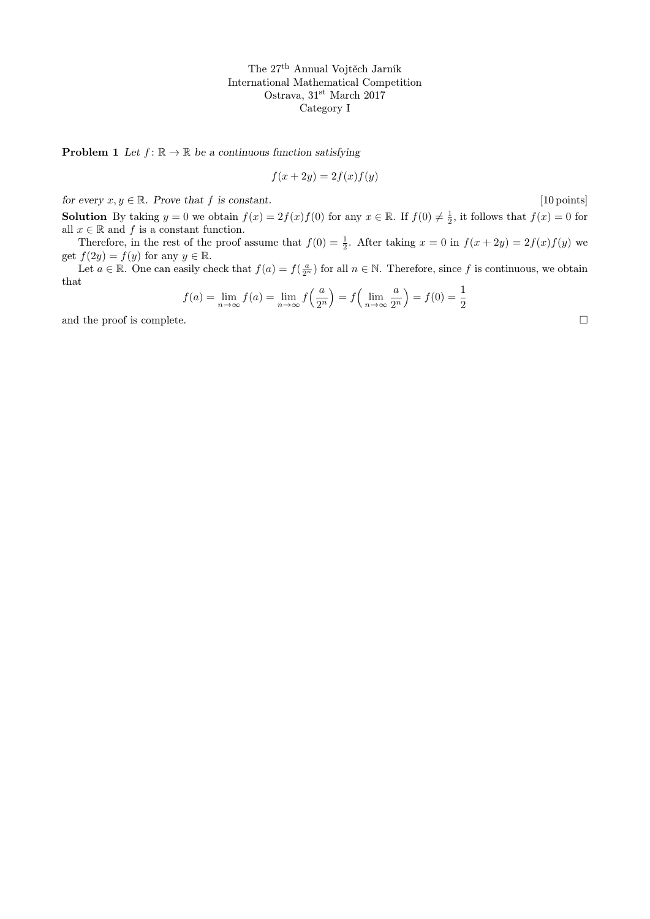**Problem 1** Let  $f: \mathbb{R} \to \mathbb{R}$  be a continuous function satisfying

$$
f(x+2y) = 2f(x)f(y)
$$

for every  $x, y \in \mathbb{R}$ . Prove that f is constant. [10 points]

**Solution** By taking  $y = 0$  we obtain  $f(x) = 2f(x)f(0)$  for any  $x \in \mathbb{R}$ . If  $f(0) \neq \frac{1}{2}$ , it follows that  $f(x) = 0$  for all  $x\in\mathbb{R}$  and  $f$  is a constant function.

Therefore, in the rest of the proof assume that  $f(0) = \frac{1}{2}$ . After taking  $x = 0$  in  $f(x + 2y) = 2f(x)f(y)$  we get  $f(2y) = f(y)$  for any  $y \in \mathbb{R}$ .

Let  $a \in \mathbb{R}$ . One can easily check that  $f(a) = f(\frac{a}{2^n})$  for all  $n \in \mathbb{N}$ . Therefore, since f is continuous, we obtain that

$$
f(a) = \lim_{n \to \infty} f(a) = \lim_{n \to \infty} f\left(\frac{a}{2^n}\right) = f\left(\lim_{n \to \infty} \frac{a}{2^n}\right) = f(0) = \frac{1}{2}
$$

and the proof is complete.  $\Box$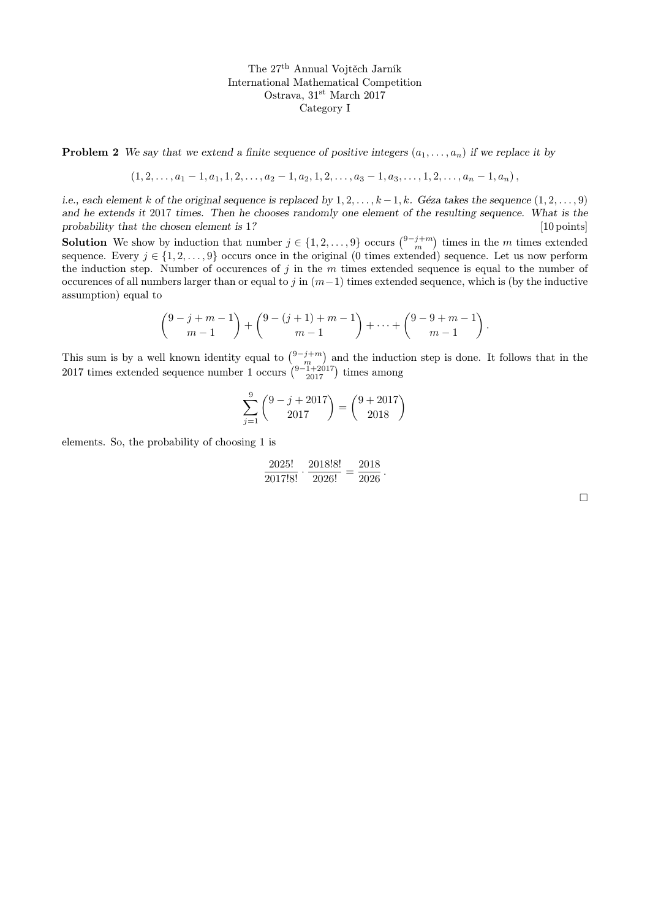**Problem 2** We say that we extend a finite sequence of positive integers  $(a_1, \ldots, a_n)$  if we replace it by

$$
(1, 2, \ldots, a_1-1, a_1, 1, 2, \ldots, a_2-1, a_2, 1, 2, \ldots, a_3-1, a_3, \ldots, 1, 2, \ldots, a_n-1, a_n),
$$

i.e., each element k of the original sequence is replaced by  $1, 2, \ldots, k-1, k$ . Géza takes the sequence  $(1, 2, \ldots, 9)$ and he extends it 2017 times. Then he chooses randomly one element of the resulting sequence. What is the probability that the chosen element is 1? [10 points] [10 points]

**Solution** We show by induction that number  $j \in \{1, 2, ..., 9\}$  occurs  $\binom{9-j+m}{m}$  times in the m times extended sequence. Every  $j \in \{1, 2, \ldots, 9\}$  occurs once in the original (0 times extended) sequence. Let us now perform the induction step. Number of occurences of  $j$  in the  $m$  times extended sequence is equal to the number of occurences of all numbers larger than or equal to j in  $(m-1)$  times extended sequence, which is (by the inductive assumption) equal to

$$
\binom{9-j+m-1}{m-1} + \binom{9-(j+1)+m-1}{m-1} + \dots + \binom{9-9+m-1}{m-1}.
$$

This sum is by a well known identity equal to  $\binom{9-j+m}{m}$  and the induction step is done. It follows that in the 2017 times extended sequence number 1 occurs  $\binom{9-1+2017}{2017}$  times among

$$
\sum_{j=1}^{9} {9 - j + 2017 \choose 2017} = {9 + 2017 \choose 2018}
$$

elements. So, the probability of choosing 1 is

$$
\frac{2025!}{2017!8!} \cdot \frac{2018!8!}{2026!} = \frac{2018}{2026}.
$$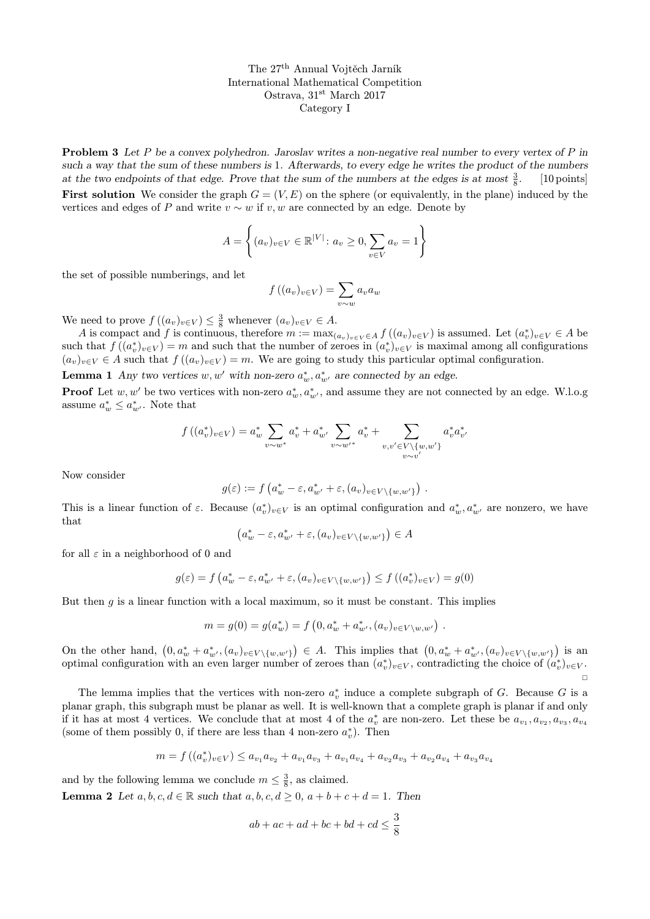**Problem 3** Let P be a convex polyhedron. Jaroslav writes a non-negative real number to every vertex of P in such a way that the sum of these numbers is 1. Afterwards, to every edge he writes the product of the numbers at the two endpoints of that edge. Prove that the sum of the numbers at the edges is at most  $\frac{3}{8}$ . [10 points] **First solution** We consider the graph  $G = (V, E)$  on the sphere (or equivalently, in the plane) induced by the vertices and edges of P and write  $v \sim w$  if  $v, w$  are connected by an edge. Denote by

$$
A = \left\{ (a_v)_{v \in V} \in \mathbb{R}^{|V|} : a_v \ge 0, \sum_{v \in V} a_v = 1 \right\}
$$

the set of possible numberings, and let

$$
f((a_v)_{v\in V}) = \sum_{v\sim w} a_v a_w
$$

We need to prove  $f((a_v)_{v\in V}) \leq \frac{3}{8}$  whenever  $(a_v)_{v\in V} \in A$ .

A is compact and f is continuous, therefore  $m := \max_{(a_v)_v \in V} \in A f((a_v)_{v \in V})$  is assumed. Let  $(a_v^*)_v \in V \in A$  be such that  $f((a_v^*)_{v\in V}) = m$  and such that the number of zeroes in  $(a_v^*)_{{v\in V}}$  is maximal among all configurations  $(a_v)_{v\in V} \in A$  such that  $f((a_v)_{v\in V}) = m$ . We are going to study this particular optimal configuration.

**Lemma 1** Any two vertices  $w, w'$  with non-zero  $a_w^*, a_w^*$  are connected by an edge.

**Proof** Let  $w, w'$  be two vertices with non-zero  $a_w^*, a_{w'}^*$ , and assume they are not connected by an edge. W.l.o.g assume  $a_w^* \leq a_{w'}^*$ . Note that

$$
f((a_v^*)_v \in V) = a_w^* \sum_{v \sim w^*} a_v^* + a_{w'}^* \sum_{v \sim w'^*} a_v^* + \sum_{v,v' \in V \setminus \{w,w'\}} a_v^* a_{v'}^*
$$

Now consider

$$
g(\varepsilon) := f\left(a_w^* - \varepsilon, a_{w'}^* + \varepsilon, (a_v)_{v \in V \setminus \{w, w'\}}\right).
$$

This is a linear function of  $\varepsilon$ . Because  $(a_v^*)_{v \in V}$  is an optimal configuration and  $a_w^*, a_w^*$  are nonzero, we have that

$$
(a_w^* - \varepsilon, a_{w'}^* + \varepsilon, (a_v)_{v \in V \setminus \{w, w'\}}) \in A
$$

for all  $\varepsilon$  in a neighborhood of 0 and

$$
g(\varepsilon) = f\left(a_w^* - \varepsilon, a_{w'}^* + \varepsilon, (a_v)_{v \in V \setminus \{w, w'\}}\right) \le f\left((a_v^*)_{v \in V}\right) = g(0)
$$

But then  $q$  is a linear function with a local maximum, so it must be constant. This implies

$$
m = g(0) = g(a_w^*) = f\left(0, a_w^* + a_{w'}^*, (a_v)_{v \in V \setminus w, w'}\right).
$$

On the other hand,  $(0, a_w^* + a_{w'}^*, (a_v)_{v \in V \setminus \{w,w'\}}) \in A$ . This implies that  $(0, a_w^* + a_{w'}^*, (a_v)_{v \in V \setminus \{w,w'\}})$  is an optimal configuration with an even larger number of zeroes than  $(a_v^*)_{v \in V}$ , contradicting the choice of  $(a_v^*)_{v \in V}$ .  $\Box$ 

The lemma implies that the vertices with non-zero  $a_v^*$  induce a complete subgraph of G. Because G is a planar graph, this subgraph must be planar as well. It is well-known that a complete graph is planar if and only if it has at most 4 vertices. We conclude that at most 4 of the  $a_v^*$  are non-zero. Let these be  $a_{v_1}, a_{v_2}, a_{v_3}, a_{v_4}$ (some of them possibly 0, if there are less than 4 non-zero  $a_v^*$ ). Then

$$
m = f\left( (a_v^*)_{v \in V} \right) \le a_{v_1} a_{v_2} + a_{v_1} a_{v_3} + a_{v_1} a_{v_4} + a_{v_2} a_{v_3} + a_{v_2} a_{v_4} + a_{v_3} a_{v_4}
$$

and by the following lemma we conclude  $m \leq \frac{3}{8}$ , as claimed.

**Lemma 2** Let  $a, b, c, d \in \mathbb{R}$  such that  $a, b, c, d \geq 0$ ,  $a + b + c + d = 1$ . Then

$$
ab + ac + ad + bc + bd + cd \le \frac{3}{8}
$$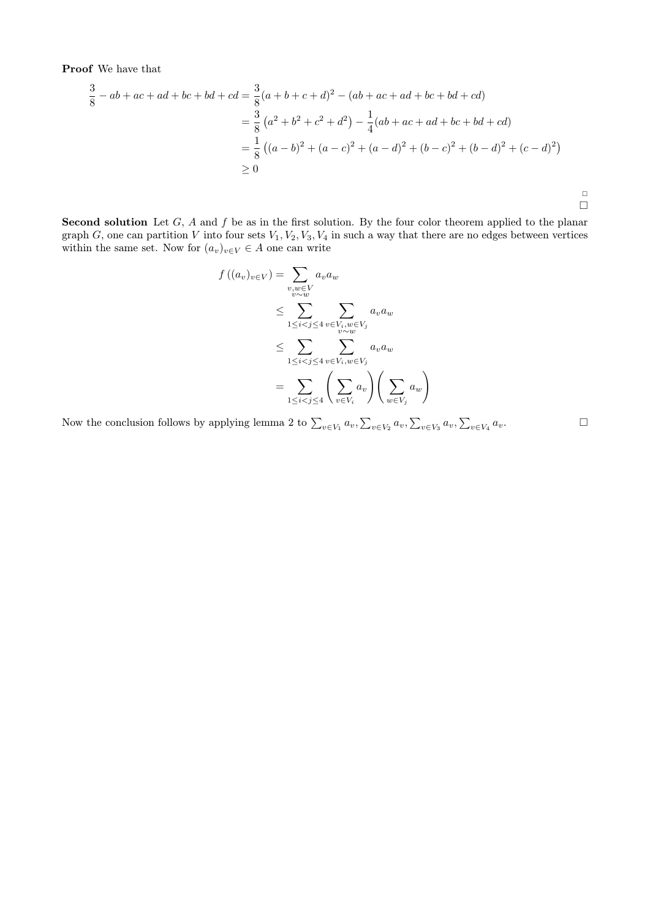Proof We have that

$$
\frac{3}{8} - ab + ac + ad + bc + bd + cd = \frac{3}{8}(a+b+c+d)^2 - (ab+ac+ad+bc+bd+cd)
$$
  
=  $\frac{3}{8}(a^2 + b^2 + c^2 + d^2) - \frac{1}{4}(ab+ac+ad+bc+bd+cd)$   
=  $\frac{1}{8}((a-b)^2 + (a-c)^2 + (a-d)^2 + (b-c)^2 + (b-d)^2 + (c-d)^2)$   
\ge 0

Second solution Let  $G$ ,  $A$  and  $f$  be as in the first solution. By the four color theorem applied to the planar graph G, one can partition V into four sets  $V_1, V_2, V_3, V_4$  in such a way that there are no edges between vertices within the same set. Now for  $(a_v)_{v\in V} \in A$  one can write

$$
f((a_v)_{v \in V}) = \sum_{\substack{v, w \in V \\ v \sim w}} a_v a_w
$$
  
\n
$$
\leq \sum_{1 \leq i < j \leq 4} \sum_{\substack{v \in V_i, w \in V_j \\ v \sim w}} a_v a_w
$$
  
\n
$$
\leq \sum_{1 \leq i < j \leq 4} \sum_{v \in V_i, w \in V_j} a_v a_w
$$
  
\n
$$
= \sum_{1 \leq i < j \leq 4} \left( \sum_{v \in V_i} a_v \right) \left( \sum_{w \in V_j} a_w \right)
$$

Now the conclusion follows by applying lemma 2 to  $\sum_{v \in V_1} a_v, \sum_{v \in V_2} a_v, \sum_{v \in V_3} a_v, \sum_{v \in V_4} a_v$ .

 $\Box$  $\Box$